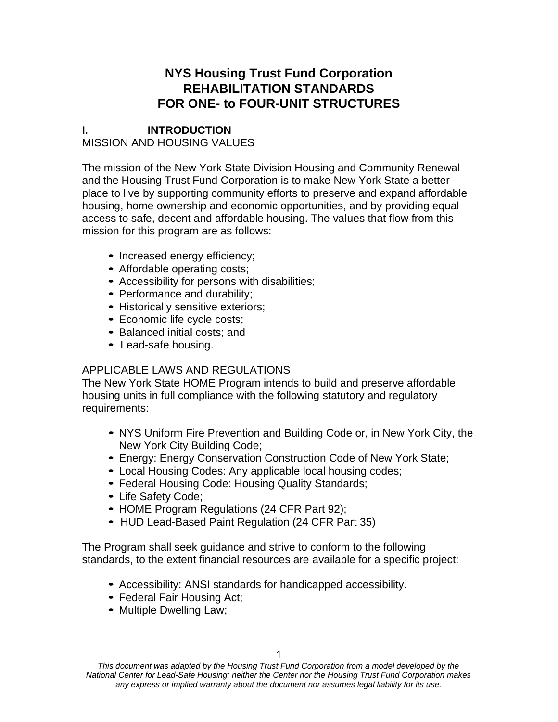# **NYS Housing Trust Fund Corporation REHABILITATION STANDARDS FOR ONE- to FOUR-UNIT STRUCTURES**

## **I. INTRODUCTION** MISSION AND HOUSING VALUES

The mission of the New York State Division Housing and Community Renewal and the Housing Trust Fund Corporation is to make New York State a better place to live by supporting community efforts to preserve and expand affordable housing, home ownership and economic opportunities, and by providing equal access to safe, decent and affordable housing. The values that flow from this mission for this program are as follows:

- Increased energy efficiency;
- Affordable operating costs;
- Accessibility for persons with disabilities;
- Performance and durability;
- Historically sensitive exteriors;
- Economic life cycle costs;
- Balanced initial costs; and
- Lead-safe housing.

## APPLICABLE LAWS AND REGULATIONS

The New York State HOME Program intends to build and preserve affordable housing units in full compliance with the following statutory and regulatory requirements:

- NYS Uniform Fire Prevention and Building Code or, in New York City, the New York City Building Code;
- Energy: Energy Conservation Construction Code of New York State;
- Local Housing Codes: Any applicable local housing codes;
- Federal Housing Code: Housing Quality Standards;
- Life Safety Code;
- HOME Program Regulations (24 CFR Part 92);
- HUD Lead-Based Paint Regulation (24 CFR Part 35)

The Program shall seek guidance and strive to conform to the following standards, to the extent financial resources are available for a specific project:

- Accessibility: ANSI standards for handicapped accessibility.
- Federal Fair Housing Act;
- Multiple Dwelling Law;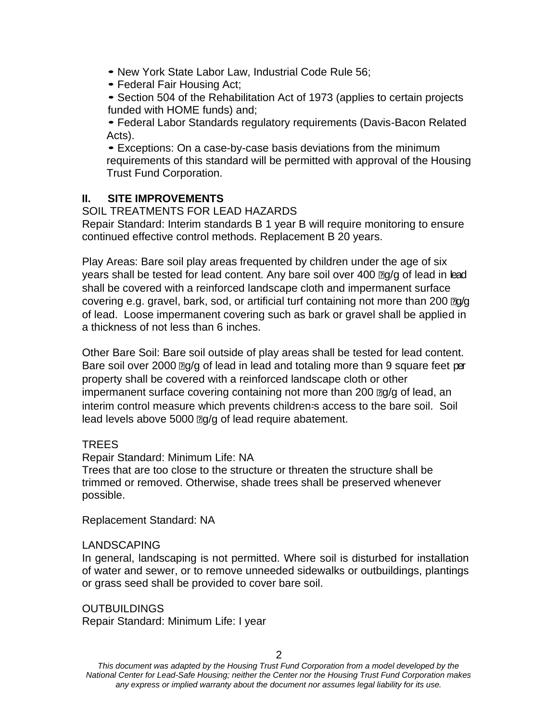- New York State Labor Law, Industrial Code Rule 56;
- Federal Fair Housing Act;
- Section 504 of the Rehabilitation Act of 1973 (applies to certain projects funded with HOME funds) and;

• Federal Labor Standards regulatory requirements (Davis-Bacon Related Acts).

• Exceptions: On a case-by-case basis deviations from the minimum requirements of this standard will be permitted with approval of the Housing Trust Fund Corporation.

## **II. SITE IMPROVEMENTS**

SOIL TREATMENTS FOR LEAD HAZARDS

Repair Standard: Interim standards B 1 year B will require monitoring to ensure continued effective control methods. Replacement B 20 years.

Play Areas: Bare soil play areas frequented by children under the age of six years shall be tested for lead content. Any bare soil over 400  $\log/g$  of lead in lead shall be covered with a reinforced landscape cloth and impermanent surface covering e.g. gravel, bark, sod, or artificial turf containing not more than 200  $\mathbb{E}q/q$ of lead. Loose impermanent covering such as bark or gravel shall be applied in a thickness of not less than 6 inches.

Other Bare Soil: Bare soil outside of play areas shall be tested for lead content. Bare soil over 2000  $\mathbb{F}q/q$  of lead in lead and totaling more than 9 square feet per property shall be covered with a reinforced landscape cloth or other impermanent surface covering containing not more than 200  $\text{Eq/q}$  of lead, an interim control measure which prevents children=s access to the bare soil. Soil lead levels above 5000  $\mathbb{Z}q/q$  of lead require abatement.

## TREES

Repair Standard: Minimum Life: NA

Trees that are too close to the structure or threaten the structure shall be trimmed or removed. Otherwise, shade trees shall be preserved whenever possible.

Replacement Standard: NA

### LANDSCAPING

In general, landscaping is not permitted. Where soil is disturbed for installation of water and sewer, or to remove unneeded sidewalks or outbuildings, plantings or grass seed shall be provided to cover bare soil.

OUTBUILDINGS Repair Standard: Minimum Life: I year

2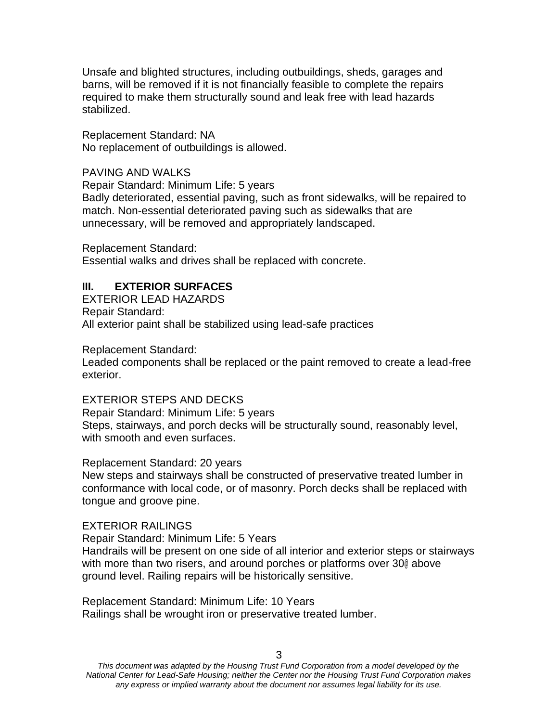Unsafe and blighted structures, including outbuildings, sheds, garages and barns, will be removed if it is not financially feasible to complete the repairs required to make them structurally sound and leak free with lead hazards stabilized.

Replacement Standard: NA No replacement of outbuildings is allowed.

### PAVING AND WALKS

Repair Standard: Minimum Life: 5 years Badly deteriorated, essential paving, such as front sidewalks, will be repaired to match. Non-essential deteriorated paving such as sidewalks that are unnecessary, will be removed and appropriately landscaped.

Replacement Standard: Essential walks and drives shall be replaced with concrete.

#### **III. EXTERIOR SURFACES**

EXTERIOR LEAD HAZARDS Repair Standard: All exterior paint shall be stabilized using lead-safe practices

Replacement Standard:

Leaded components shall be replaced or the paint removed to create a lead-free exterior.

#### EXTERIOR STEPS AND DECKS

Repair Standard: Minimum Life: 5 years Steps, stairways, and porch decks will be structurally sound, reasonably level, with smooth and even surfaces.

#### Replacement Standard: 20 years

New steps and stairways shall be constructed of preservative treated lumber in conformance with local code, or of masonry. Porch decks shall be replaced with tongue and groove pine.

#### EXTERIOR RAILINGS

Repair Standard: Minimum Life: 5 Years

Handrails will be present on one side of all interior and exterior steps or stairways with more than two risers, and around porches or platforms over 30% above ground level. Railing repairs will be historically sensitive.

Replacement Standard: Minimum Life: 10 Years Railings shall be wrought iron or preservative treated lumber.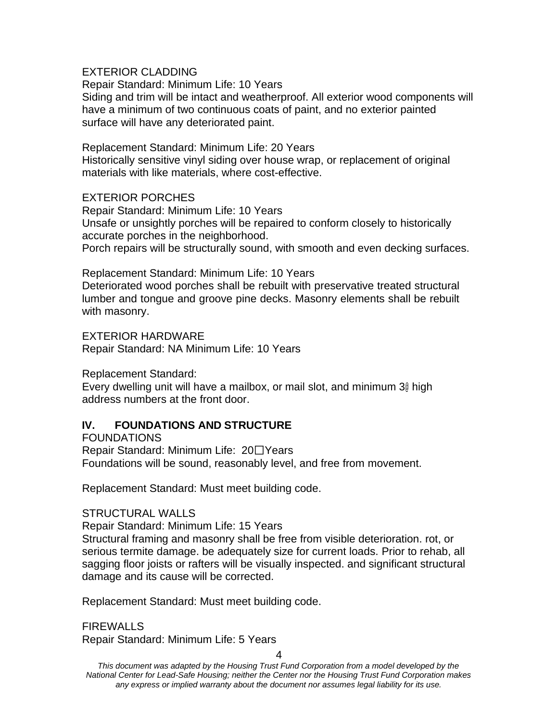### EXTERIOR CLADDING

Repair Standard: Minimum Life: 10 Years

Siding and trim will be intact and weatherproof. All exterior wood components will have a minimum of two continuous coats of paint, and no exterior painted surface will have any deteriorated paint.

#### Replacement Standard: Minimum Life: 20 Years

Historically sensitive vinyl siding over house wrap, or replacement of original materials with like materials, where cost-effective.

### EXTERIOR PORCHES

Repair Standard: Minimum Life: 10 Years Unsafe or unsightly porches will be repaired to conform closely to historically accurate porches in the neighborhood. Porch repairs will be structurally sound, with smooth and even decking surfaces.

#### Replacement Standard: Minimum Life: 10 Years

Deteriorated wood porches shall be rebuilt with preservative treated structural lumber and tongue and groove pine decks. Masonry elements shall be rebuilt with masonry.

EXTERIOR HARDWARE Repair Standard: NA Minimum Life: 10 Years

Replacement Standard:

Every dwelling unit will have a mailbox, or mail slot, and minimum 3@ high address numbers at the front door.

## **IV. FOUNDATIONS AND STRUCTURE**

FOUNDATIONS Repair Standard: Minimum Life:  $20\square$ Years Foundations will be sound, reasonably level, and free from movement.

Replacement Standard: Must meet building code.

### STRUCTURAL WALLS

Repair Standard: Minimum Life: 15 Years

Structural framing and masonry shall be free from visible deterioration. rot, or serious termite damage. be adequately size for current loads. Prior to rehab, all sagging floor joists or rafters will be visually inspected. and significant structural damage and its cause will be corrected.

Replacement Standard: Must meet building code.

**FIREWALLS** Repair Standard: Minimum Life: 5 Years

4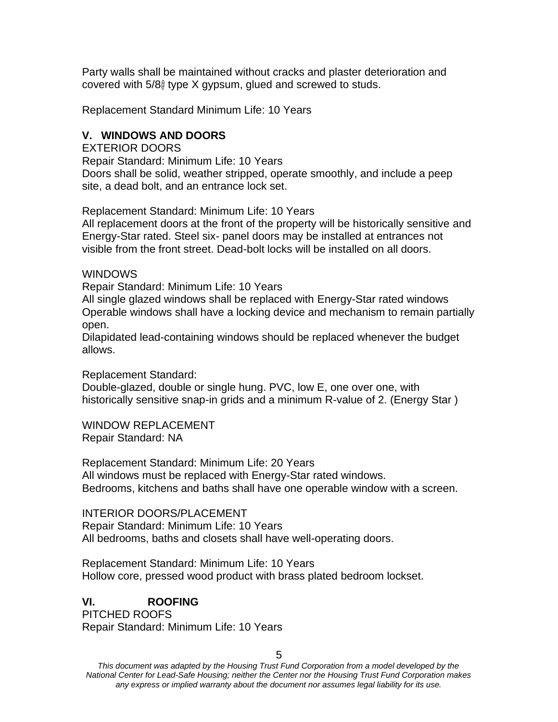Party walls shall be maintained without cracks and plaster deterioration and covered with 5/8@ type X gypsum, glued and screwed to studs.

Replacement Standard Minimum Life: 10 Years

### **V. WINDOWS AND DOORS**

EXTERIOR DOORS

Repair Standard: Minimum Life: 10 Years Doors shall be solid, weather stripped, operate smoothly, and include a peep site, a dead bolt, and an entrance lock set.

Replacement Standard: Minimum Life: 10 Years

All replacement doors at the front of the property will be historically sensitive and Energy-Star rated. Steel six- panel doors may be installed at entrances not visible from the front street. Dead-bolt locks will be installed on all doors.

**WINDOWS** 

Repair Standard: Minimum Life: 10 Years

All single glazed windows shall be replaced with Energy-Star rated windows Operable windows shall have a locking device and mechanism to remain partially open.

Dilapidated lead-containing windows should be replaced whenever the budget allows.

Replacement Standard:

Double-glazed, double or single hung. PVC, low E, one over one, with historically sensitive snap-in grids and a minimum R-value of 2. (Energy Star )

WINDOW REPLACEMENT Repair Standard: NA

Replacement Standard: Minimum Life: 20 Years All windows must be replaced with Energy-Star rated windows. Bedrooms, kitchens and baths shall have one operable window with a screen.

INTERIOR DOORS/PLACEMENT Repair Standard: Minimum Life: 10 Years All bedrooms, baths and closets shall have well-operating doors.

Replacement Standard: Minimum Life: 10 Years Hollow core, pressed wood product with brass plated bedroom lockset.

### **VI. ROOFING**

PITCHED ROOFS Repair Standard: Minimum Life: 10 Years

5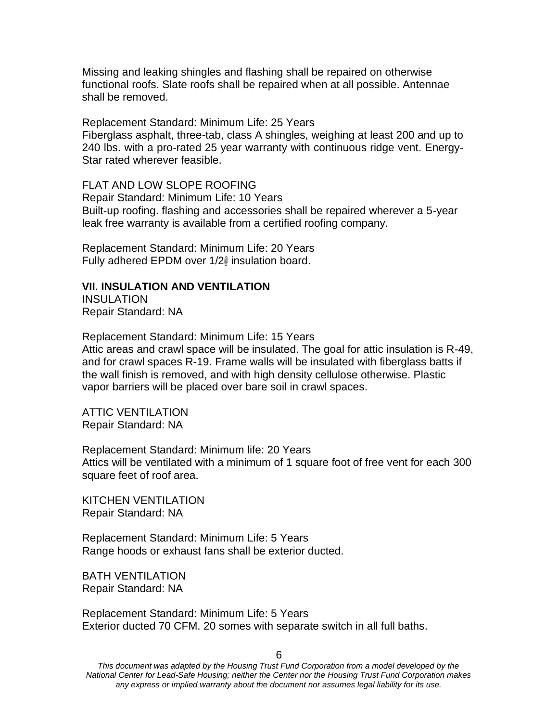Missing and leaking shingles and flashing shall be repaired on otherwise functional roofs. Slate roofs shall be repaired when at all possible. Antennae shall be removed.

Replacement Standard: Minimum Life: 25 Years Fiberglass asphalt, three-tab, class A shingles, weighing at least 200 and up to 240 lbs. with a pro-rated 25 year warranty with continuous ridge vent. Energy-Star rated wherever feasible.

FLAT AND LOW SLOPE ROOFING Repair Standard: Minimum Life: 10 Years Built-up roofing. flashing and accessories shall be repaired wherever a 5-year leak free warranty is available from a certified roofing company.

Replacement Standard: Minimum Life: 20 Years Fully adhered EPDM over 1/2@ insulation board.

#### **VII. INSULATION AND VENTILATION**

**INSULATION** Repair Standard: NA

Replacement Standard: Minimum Life: 15 Years

Attic areas and crawl space will be insulated. The goal for attic insulation is R-49, and for crawl spaces R-19. Frame walls will be insulated with fiberglass batts if the wall finish is removed, and with high density cellulose otherwise. Plastic vapor barriers will be placed over bare soil in crawl spaces.

ATTIC VENTILATION Repair Standard: NA

Replacement Standard: Minimum life: 20 Years Attics will be ventilated with a minimum of 1 square foot of free vent for each 300 square feet of roof area.

KITCHEN VENTILATION Repair Standard: NA

Replacement Standard: Minimum Life: 5 Years Range hoods or exhaust fans shall be exterior ducted.

BATH VENTILATION Repair Standard: NA

Replacement Standard: Minimum Life: 5 Years Exterior ducted 70 CFM. 20 somes with separate switch in all full baths.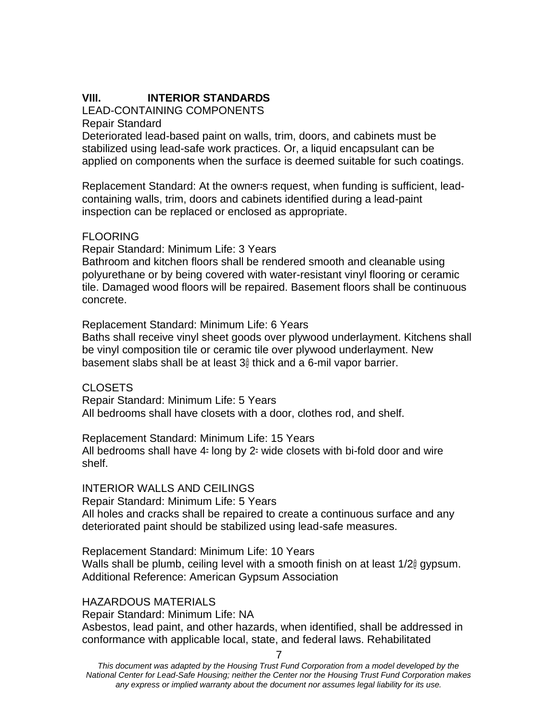### **VIII. INTERIOR STANDARDS**

### LEAD-CONTAINING COMPONENTS

Repair Standard

Deteriorated lead-based paint on walls, trim, doors, and cabinets must be stabilized using lead-safe work practices. Or, a liquid encapsulant can be applied on components when the surface is deemed suitable for such coatings.

Replacement Standard: At the owner=s request, when funding is sufficient, leadcontaining walls, trim, doors and cabinets identified during a lead-paint inspection can be replaced or enclosed as appropriate.

### FLOORING

Repair Standard: Minimum Life: 3 Years

Bathroom and kitchen floors shall be rendered smooth and cleanable using polyurethane or by being covered with water-resistant vinyl flooring or ceramic tile. Damaged wood floors will be repaired. Basement floors shall be continuous concrete.

Replacement Standard: Minimum Life: 6 Years

Baths shall receive vinyl sheet goods over plywood underlayment. Kitchens shall be vinyl composition tile or ceramic tile over plywood underlayment. New basement slabs shall be at least 3@ thick and a 6-mil vapor barrier.

CLOSETS

Repair Standard: Minimum Life: 5 Years All bedrooms shall have closets with a door, clothes rod, and shelf.

Replacement Standard: Minimum Life: 15 Years All bedrooms shall have 4= long by 2= wide closets with bi-fold door and wire shelf.

### INTERIOR WALLS AND CEILINGS

Repair Standard: Minimum Life: 5 Years All holes and cracks shall be repaired to create a continuous surface and any deteriorated paint should be stabilized using lead-safe measures.

Replacement Standard: Minimum Life: 10 Years Walls shall be plumb, ceiling level with a smooth finish on at least 1/20 gypsum. Additional Reference: American Gypsum Association

#### HAZARDOUS MATERIALS

Repair Standard: Minimum Life: NA

Asbestos, lead paint, and other hazards, when identified, shall be addressed in conformance with applicable local, state, and federal laws. Rehabilitated

7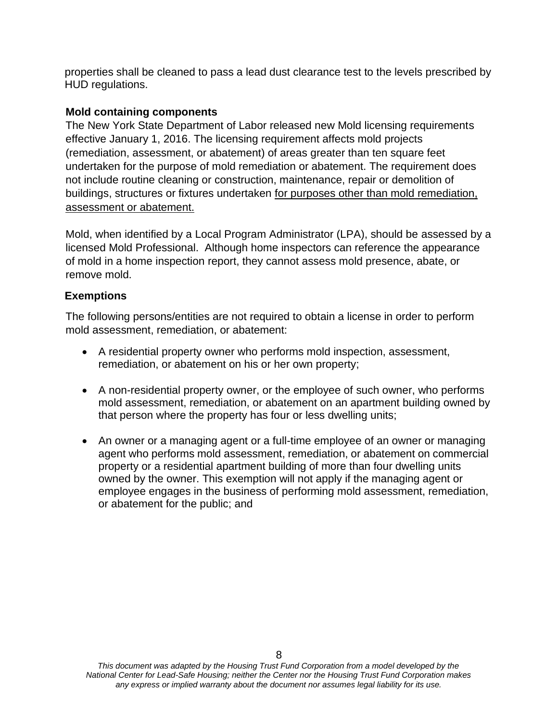properties shall be cleaned to pass a lead dust clearance test to the levels prescribed by HUD regulations.

## **Mold containing components**

The New York State Department of Labor released new Mold licensing requirements effective January 1, 2016. The licensing requirement affects mold projects (remediation, assessment, or abatement) of areas greater than ten square feet undertaken for the purpose of mold remediation or abatement. The requirement does not include routine cleaning or construction, maintenance, repair or demolition of buildings, structures or fixtures undertaken for purposes other than mold remediation, assessment or abatement.

Mold, when identified by a Local Program Administrator (LPA), should be assessed by a licensed Mold Professional. Although home inspectors can reference the appearance of mold in a home inspection report, they cannot assess mold presence, abate, or remove mold.

### **Exemptions**

The following persons/entities are not required to obtain a license in order to perform mold assessment, remediation, or abatement:

- A residential property owner who performs mold inspection, assessment, remediation, or abatement on his or her own property;
- A non-residential property owner, or the employee of such owner, who performs mold assessment, remediation, or abatement on an apartment building owned by that person where the property has four or less dwelling units;
- An owner or a managing agent or a full-time employee of an owner or managing agent who performs mold assessment, remediation, or abatement on commercial property or a residential apartment building of more than four dwelling units owned by the owner. This exemption will not apply if the managing agent or employee engages in the business of performing mold assessment, remediation, or abatement for the public; and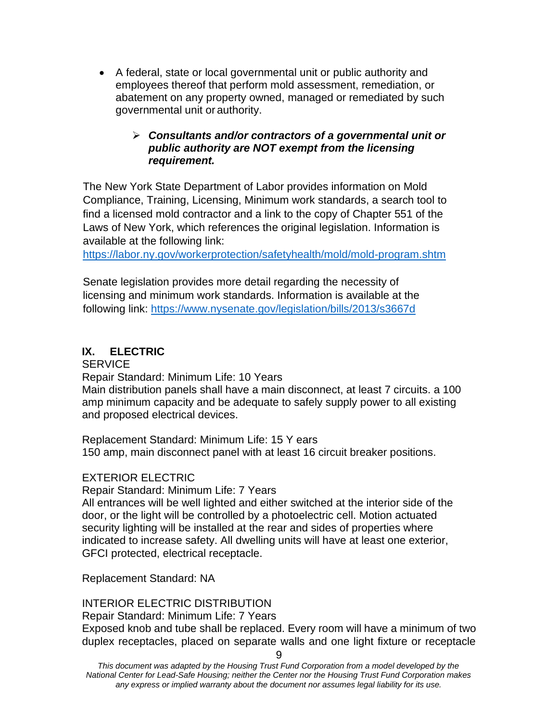• A federal, state or local governmental unit or public authority and employees thereof that perform mold assessment, remediation, or abatement on any property owned, managed or remediated by such governmental unit or authority.

### ➢ *Consultants and/or contractors of a governmental unit or public authority are NOT exempt from the licensing requirement.*

The New York State Department of Labor provides information on Mold Compliance, Training, Licensing, Minimum work standards, a search tool to find a licensed mold contractor and a link to the copy of Chapter 551 of the Laws of New York, which references the original legislation. Information is available at the following link:

https://labor.ny.gov/workerprotection/safetyhealth/mold/mold-program.shtm

Senate legislation provides more detail regarding the necessity of licensing and minimum work standards. Information is available at the following link: [https://www.nysenate.gov/legis](http://www.nysenate.gov/legislation/bills/2013/s3667d)la[tion/bills/2013/s3667d](http://www.nysenate.gov/legislation/bills/2013/s3667d)

## **IX. ELECTRIC**

**SERVICE** 

Repair Standard: Minimum Life: 10 Years

Main distribution panels shall have a main disconnect, at least 7 circuits. a 100 amp minimum capacity and be adequate to safely supply power to all existing and proposed electrical devices.

Replacement Standard: Minimum Life: 15 Y ears 150 amp, main disconnect panel with at least 16 circuit breaker positions.

## EXTERIOR ELECTRIC

Repair Standard: Minimum Life: 7 Years

All entrances will be well lighted and either switched at the interior side of the door, or the light will be controlled by a photoelectric cell. Motion actuated security lighting will be installed at the rear and sides of properties where indicated to increase safety. All dwelling units will have at least one exterior, GFCI protected, electrical receptacle.

Replacement Standard: NA

### INTERIOR ELECTRIC DISTRIBUTION

Repair Standard: Minimum Life: 7 Years

Exposed knob and tube shall be replaced. Every room will have a minimum of two duplex receptacles, placed on separate walls and one light fixture or receptacle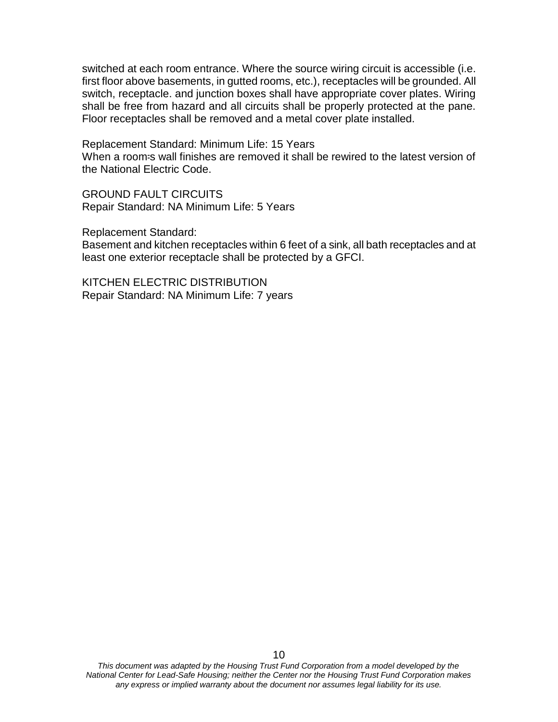switched at each room entrance. Where the source wiring circuit is accessible (i.e. first floor above basements, in gutted rooms, etc.), receptacles will be grounded. All switch, receptacle. and junction boxes shall have appropriate cover plates. Wiring shall be free from hazard and all circuits shall be properly protected at the pane. Floor receptacles shall be removed and a metal cover plate installed.

Replacement Standard: Minimum Life: 15 Years When a room-s wall finishes are removed it shall be rewired to the latest version of the National Electric Code.

GROUND FAULT CIRCUITS Repair Standard: NA Minimum Life: 5 Years

Replacement Standard:

Basement and kitchen receptacles within 6 feet of a sink, all bath receptacles and at least one exterior receptacle shall be protected by a GFCI.

KITCHEN ELECTRIC DISTRIBUTION Repair Standard: NA Minimum Life: 7 years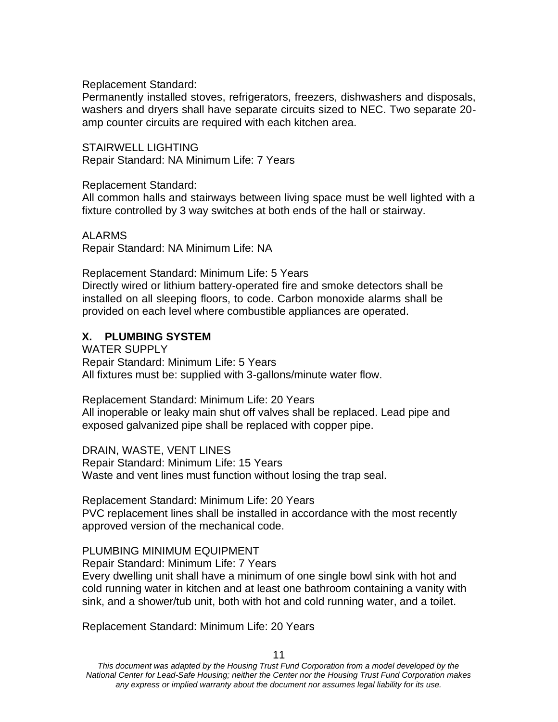Replacement Standard:

Permanently installed stoves, refrigerators, freezers, dishwashers and disposals, washers and dryers shall have separate circuits sized to NEC. Two separate 20 amp counter circuits are required with each kitchen area.

STAIRWELL LIGHTING Repair Standard: NA Minimum Life: 7 Years

Replacement Standard:

All common halls and stairways between living space must be well lighted with a fixture controlled by 3 way switches at both ends of the hall or stairway.

ALARMS

Repair Standard: NA Minimum Life: NA

Replacement Standard: Minimum Life: 5 Years

Directly wired or lithium battery-operated fire and smoke detectors shall be installed on all sleeping floors, to code. Carbon monoxide alarms shall be provided on each level where combustible appliances are operated.

### **X. PLUMBING SYSTEM**

WATER SUPPLY Repair Standard: Minimum Life: 5 Years All fixtures must be: supplied with 3-gallons/minute water flow.

Replacement Standard: Minimum Life: 20 Years All inoperable or leaky main shut off valves shall be replaced. Lead pipe and exposed galvanized pipe shall be replaced with copper pipe.

DRAIN, WASTE, VENT LINES Repair Standard: Minimum Life: 15 Years Waste and vent lines must function without losing the trap seal.

Replacement Standard: Minimum Life: 20 Years PVC replacement lines shall be installed in accordance with the most recently approved version of the mechanical code.

### PLUMBING MINIMUM EQUIPMENT

Repair Standard: Minimum Life: 7 Years

Every dwelling unit shall have a minimum of one single bowl sink with hot and cold running water in kitchen and at least one bathroom containing a vanity with sink, and a shower/tub unit, both with hot and cold running water, and a toilet.

Replacement Standard: Minimum Life: 20 Years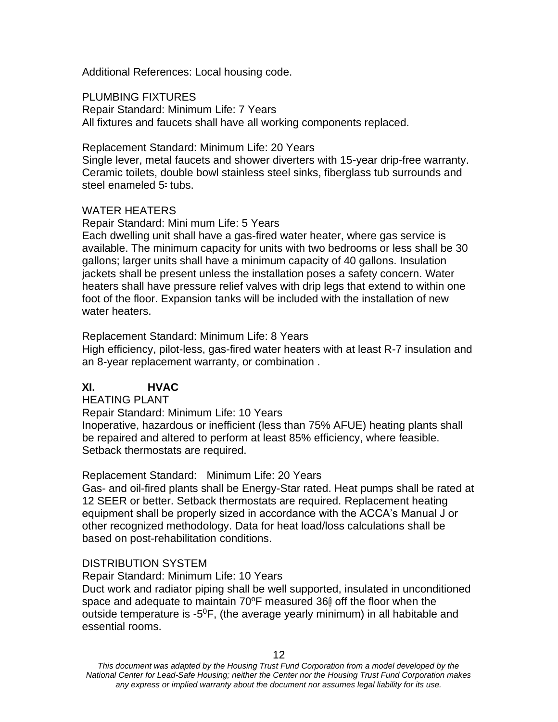Additional References: Local housing code.

PLUMBING FIXTURES

Repair Standard: Minimum Life: 7 Years All fixtures and faucets shall have all working components replaced.

Replacement Standard: Minimum Life: 20 Years

Single lever, metal faucets and shower diverters with 15-year drip-free warranty. Ceramic toilets, double bowl stainless steel sinks, fiberglass tub surrounds and steel enameled 5= tubs.

### WATER HEATERS

Repair Standard: Mini mum Life: 5 Years

Each dwelling unit shall have a gas-fired water heater, where gas service is available. The minimum capacity for units with two bedrooms or less shall be 30 gallons; larger units shall have a minimum capacity of 40 gallons. Insulation jackets shall be present unless the installation poses a safety concern. Water heaters shall have pressure relief valves with drip legs that extend to within one foot of the floor. Expansion tanks will be included with the installation of new water heaters.

Replacement Standard: Minimum Life: 8 Years

High efficiency, pilot-less, gas-fired water heaters with at least R-7 insulation and an 8-year replacement warranty, or combination .

# **XI. HVAC**

HEATING PLANT

Repair Standard: Minimum Life: 10 Years

Inoperative, hazardous or inefficient (less than 75% AFUE) heating plants shall be repaired and altered to perform at least 85% efficiency, where feasible. Setback thermostats are required.

Replacement Standard: Minimum Life: 20 Years

Gas- and oil-fired plants shall be Energy-Star rated. Heat pumps shall be rated at 12 SEER or better. Setback thermostats are required. Replacement heating equipment shall be properly sized in accordance with the ACCA's Manual J or other recognized methodology. Data for heat load/loss calculations shall be based on post-rehabilitation conditions.

## DISTRIBUTION SYSTEM

Repair Standard: Minimum Life: 10 Years

Duct work and radiator piping shall be well supported, insulated in unconditioned space and adequate to maintain 70°F measured 360 off the floor when the outside temperature is -5<sup>0</sup>F, (the average yearly minimum) in all habitable and essential rooms.